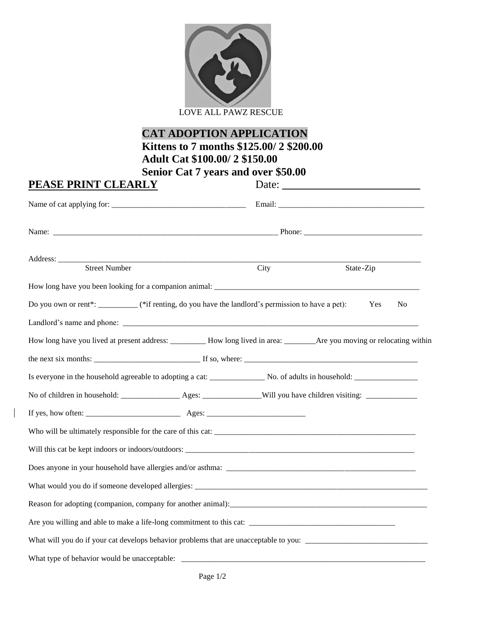

LOVE ALL PAWZ RESCUE

## **CAT ADOPTION APPLICATION Kittens to 7 months \$125.00/ 2 \$200.00 Adult Cat \$100.00/ 2 \$150.00 Senior Cat 7 years and over \$50.00**

| PEASE PRINT CLEARLY                                                                                                          |      | Date:                 |  |  |
|------------------------------------------------------------------------------------------------------------------------------|------|-----------------------|--|--|
|                                                                                                                              |      |                       |  |  |
|                                                                                                                              |      |                       |  |  |
| Address: <u>Street Number</u>                                                                                                | City | State-Zip             |  |  |
|                                                                                                                              |      |                       |  |  |
| Do you own or rent*: _________(*if renting, do you have the landlord's permission to have a pet):                            |      | Yes<br>N <sub>o</sub> |  |  |
|                                                                                                                              |      |                       |  |  |
| How long have you lived at present address: __________ How long lived in area: _________ Are you moving or relocating within |      |                       |  |  |
|                                                                                                                              |      |                       |  |  |
|                                                                                                                              |      |                       |  |  |
|                                                                                                                              |      |                       |  |  |
|                                                                                                                              |      |                       |  |  |
|                                                                                                                              |      |                       |  |  |
|                                                                                                                              |      |                       |  |  |
|                                                                                                                              |      |                       |  |  |
|                                                                                                                              |      |                       |  |  |
|                                                                                                                              |      |                       |  |  |
|                                                                                                                              |      |                       |  |  |
|                                                                                                                              |      |                       |  |  |
|                                                                                                                              |      |                       |  |  |